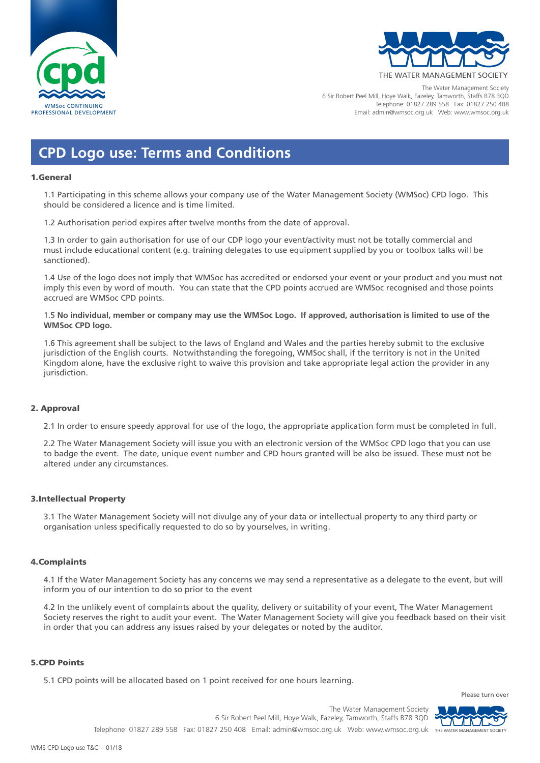



The Water Management Society 6 Sir Robert Peel Mill, Hoye Walk, Fazeley, Tamworth, Staffs B78 3QD Telephone: 01827 289 558 Fax: 01827 250 408 Email: admin@wmsoc.org.uk Web: www.wmsoc.org.uk

# **CPD Logo use: Terms and Conditions**

#### 1.General

1.1 Participating in this scheme allows your company use of the Water Management Society (WMSoc) CPD logo. This should be considered a licence and is time limited.

1.2 Authorisation period expires after twelve months from the date of approval.

1.3 In order to gain authorisation for use of our CDP logo your event/activity must not be totally commercial and must include educational content (e.g. training delegates to use equipment supplied by you or toolbox talks will be sanctioned).

1.4 Use of the logo does not imply that WMSoc has accredited or endorsed your event or your product and you must not imply this even by word of mouth. You can state that the CPD points accrued are WMSoc recognised and those points accrued are WMSoc CPD points.

1.5 **No individual, member or company may use the WMSoc Logo. If approved, authorisation is limited to use of the WMSoc CPD logo.**

1.6 This agreement shall be subject to the laws of England and Wales and the parties hereby submit to the exclusive jurisdiction of the English courts. Notwithstanding the foregoing, WMSoc shall, if the territory is not in the United Kingdom alone, have the exclusive right to waive this provision and take appropriate legal action the provider in any jurisdiction.

## 2. Approval

2.1 In order to ensure speedy approval for use of the logo, the appropriate application form must be completed in full.

2.2 The Water Management Society will issue you with an electronic version of the WMSoc CPD logo that you can use to badge the event. The date, unique event number and CPD hours granted will be also be issued. These must not be altered under any circumstances.

## 3.Intellectual Property

3.1 The Water Management Society will not divulge any of your data or intellectual property to any third party or organisation unless specifically requested to do so by yourselves, in writing.

## 4.Complaints

4.1 If the Water Management Society has any concerns we may send a representative as a delegate to the event, but will inform you of our intention to do so prior to the event

4.2 In the unlikely event of complaints about the quality, delivery or suitability of your event, The Water Management Society reserves the right to audit your event. The Water Management Society will give you feedback based on their visit in order that you can address any issues raised by your delegates or noted by the auditor.

#### 5.CPD Points

5.1 CPD points will be allocated based on 1 point received for one hours learning.

Please turn over



The Water Management Society 6 Sir Robert Peel Mill, Hoye Walk, Fazeley, Tamworth, Staffs B78 3QD Telephone: 01827 289 558 Fax: 01827 250 408 Email: admin@wmsoc.org.uk Web: www.wmsoc.org.uk